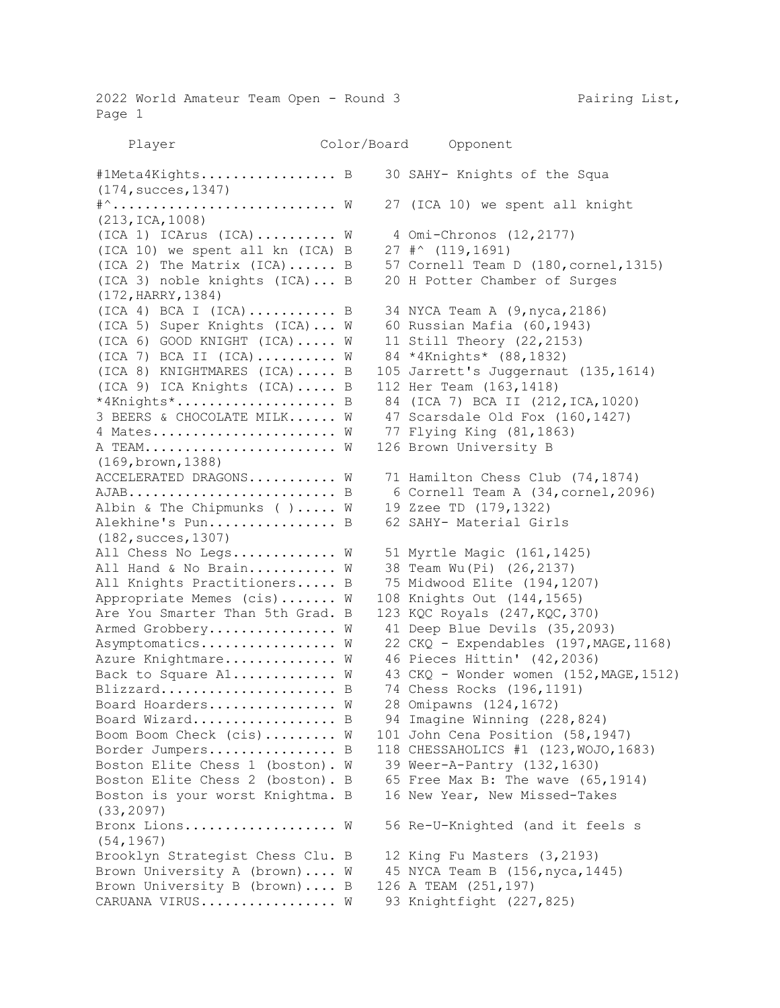2022 World Amateur Team Open - Round 3 Pairing List, Page 1 Player Color/Board Opponent #1Meta4Kights................... B 30 SAHY- Knights of the Squa (174,succes,1347) #^........................... W 27 (ICA 10) we spent all knight (213,ICA,1008)  $(ICA 1) ICArus (ICA)$ ........ W  $4 Oni-Chronos (12,2177)$ (ICA 10) we spent all kn (ICA) B 27 #^ (119,1691) (ICA 2) The Matrix  $(ICA)$ ...... B 57 Cornell Team D  $(180, cornel,1315)$ (ICA 3) noble knights (ICA)... B 20 H Potter Chamber of Surges (172,HARRY,1384) (ICA 4) BCA I (ICA)........... B 34 NYCA Team A (9,nyca,2186) (ICA 5) Super Knights (ICA)... W 60 Russian Mafia (60,1943) (ICA 6) GOOD KNIGHT (ICA)..... W 11 Still Theory (22,2153) (ICA 7) BCA II (ICA).......... W 84 \*4Knights\* (88,1832) (ICA 8) KNIGHTMARES (ICA)..... B 105 Jarrett's Juggernaut (135,1614) (ICA 9) ICA Knights (ICA)..... B 112 Her Team (163,1418) \*4Knights\*.................... B 84 (ICA 7) BCA II (212,ICA,1020) 3 BEERS & CHOCOLATE MILK...... W 47 Scarsdale Old Fox (160,1427) 4 Mates....................... W 77 Flying King (81,1863) A TEAM........................ W 126 Brown University B (169,brown,1388) ACCELERATED DRAGONS........... W 71 Hamilton Chess Club (74,1874) AJAB.......................... B 6 Cornell Team A (34,cornel,2096) Albin & The Chipmunks ( )..... W 19 Zzee TD (179,1322) Alekhine's Pun................. B 62 SAHY- Material Girls (182,succes,1307) All Chess No Legs............. W 51 Myrtle Magic (161,1425) All Hand & No Brain.......... W 38 Team Wu(Pi) (26,2137) All Knights Practitioners..... B 75 Midwood Elite (194,1207) Appropriate Memes (cis)....... W 108 Knights Out (144,1565) Are You Smarter Than 5th Grad. B 123 KQC Royals (247, KQC, 370) Armed Grobbery............... W 41 Deep Blue Devils (35,2093) Asymptomatics............... W 22 CKQ - Expendables (197, MAGE, 1168) Azure Knightmare............. W 46 Pieces Hittin' (42,2036) Back to Square A1............ W 43 CKQ - Wonder women (152, MAGE, 1512) Blizzard...................... B 74 Chess Rocks (196,1191) Board Hoarders............... W 28 Omipawns (124,1672) Board Wizard................... B 94 Imagine Winning (228,824) Boom Boom Check (cis)......... W 101 John Cena Position (58,1947) Border Jumpers................ B 118 CHESSAHOLICS #1 (123,WOJO,1683) Boston Elite Chess 1 (boston). W 39 Weer-A-Pantry (132,1630) Boston Elite Chess 2 (boston). B 65 Free Max B: The wave (65,1914) Boston is your worst Knightma. B 16 New Year, New Missed-Takes (33,2097) Bronx Lions................... W 56 Re-U-Knighted (and it feels s (54,1967) Brooklyn Strategist Chess Clu. B 12 King Fu Masters (3,2193) Brown University A (brown).... W 45 NYCA Team B (156, nyca, 1445) Brown University B (brown).... B 126 A TEAM (251,197) CARUANA VIRUS............... W 93 Knightfight (227,825)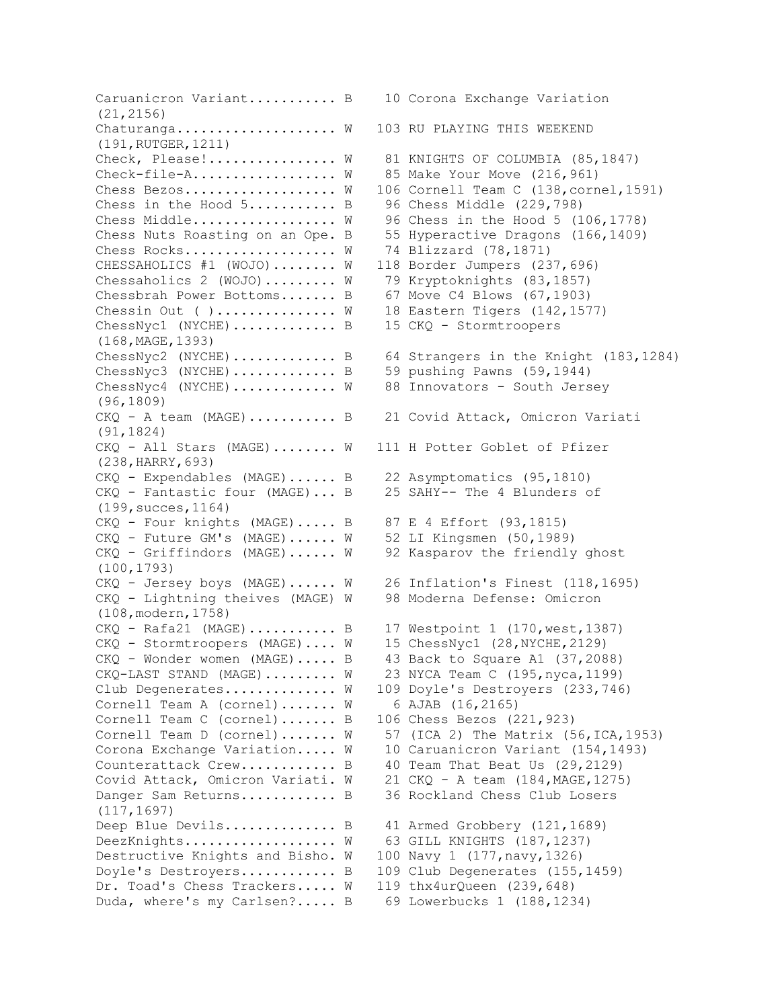Caruanicron Variant........... B 10 Corona Exchange Variation (21,2156) Chaturanga................... W 103 RU PLAYING THIS WEEKEND (191,RUTGER,1211) Check, Please!............... W 81 KNIGHTS OF COLUMBIA (85,1847) Check-file-A................. W 85 Make Your Move (216,961) Chess Bezos................... W 106 Cornell Team C (138, cornel, 1591) Chess in the Hood  $5 \ldots \ldots \ldots$ . B 96 Chess Middle (229,798) Chess Middle................. W 96 Chess in the Hood 5 (106,1778) Chess Nuts Roasting on an Ope. B 55 Hyperactive Dragons (166,1409) Chess Rocks................... W 74 Blizzard (78,1871) CHESSAHOLICS #1 (WOJO)........ W 118 Border Jumpers (237,696) Chessaholics 2 (WOJO)......... W 79 Kryptoknights (83,1857) Chessbrah Power Bottoms....... B 67 Move C4 Blows (67,1903) Chessin Out ( ).............. W 18 Eastern Tigers (142,1577) ChessNyc1 (NYCHE)............. B 15 CKQ - Stormtroopers (168,MAGE,1393) ChessNyc2 (NYCHE)............. B 64 Strangers in the Knight (183,1284) ChessNyc3 (NYCHE).............. B 59 pushing Pawns (59,1944) ChessNyc4 (NYCHE) ............ W 88 Innovators - South Jersey (96,1809) CKQ - A team (MAGE)........... B 21 Covid Attack, Omicron Variati (91,1824) CKQ - All Stars (MAGE)........ W 111 H Potter Goblet of Pfizer (238,HARRY,693) CKQ - Expendables (MAGE)...... B 22 Asymptomatics (95,1810) CKQ - Fantastic four (MAGE)... B 25 SAHY-- The 4 Blunders of (199,succes,1164) CKQ - Four knights (MAGE)..... B 87 E 4 Effort (93,1815) CKQ - Future GM's (MAGE)...... W 52 LI Kingsmen (50,1989) CKQ - Griffindors (MAGE)...... W 92 Kasparov the friendly ghost (100,1793) CKQ - Jersey boys (MAGE)...... W 26 Inflation's Finest (118,1695) CKQ - Lightning theives (MAGE) W 98 Moderna Defense: Omicron (108,modern,1758) CKQ - Rafa21 (MAGE)........... B 17 Westpoint 1 (170,west,1387) CKQ - Stormtroopers (MAGE).... W 15 ChessNyc1 (28,NYCHE,2129) CKQ - Wonder women (MAGE)..... B 43 Back to Square A1 (37,2088) CKQ-LAST STAND (MAGE)......... W 23 NYCA Team C (195,nyca,1199) Club Degenerates.............. W 109 Doyle's Destroyers (233,746) Cornell Team A (cornel)....... W 6 AJAB (16,2165) Cornell Team C (cornel)....... B 106 Chess Bezos (221,923) Cornell Team D (cornel).......  $W = 57$  (ICA 2) The Matrix (56, ICA, 1953) Corona Exchange Variation..... W 10 Caruanicron Variant (154,1493) Counterattack Crew............ B 40 Team That Beat Us (29,2129) Covid Attack, Omicron Variati. W 21 CKQ - A team (184,MAGE,1275) Danger Sam Returns............. B 36 Rockland Chess Club Losers (117,1697) Deep Blue Devils............... B 41 Armed Grobbery (121,1689) DeezKnights.................. W 63 GILL KNIGHTS (187,1237) Destructive Knights and Bisho. W 100 Navy 1 (177, navy, 1326) Doyle's Destroyers............ B 109 Club Degenerates (155,1459) Dr. Toad's Chess Trackers..... W 119 thx4urQueen (239,648) Duda, where's my Carlsen?..... B 69 Lowerbucks 1 (188,1234)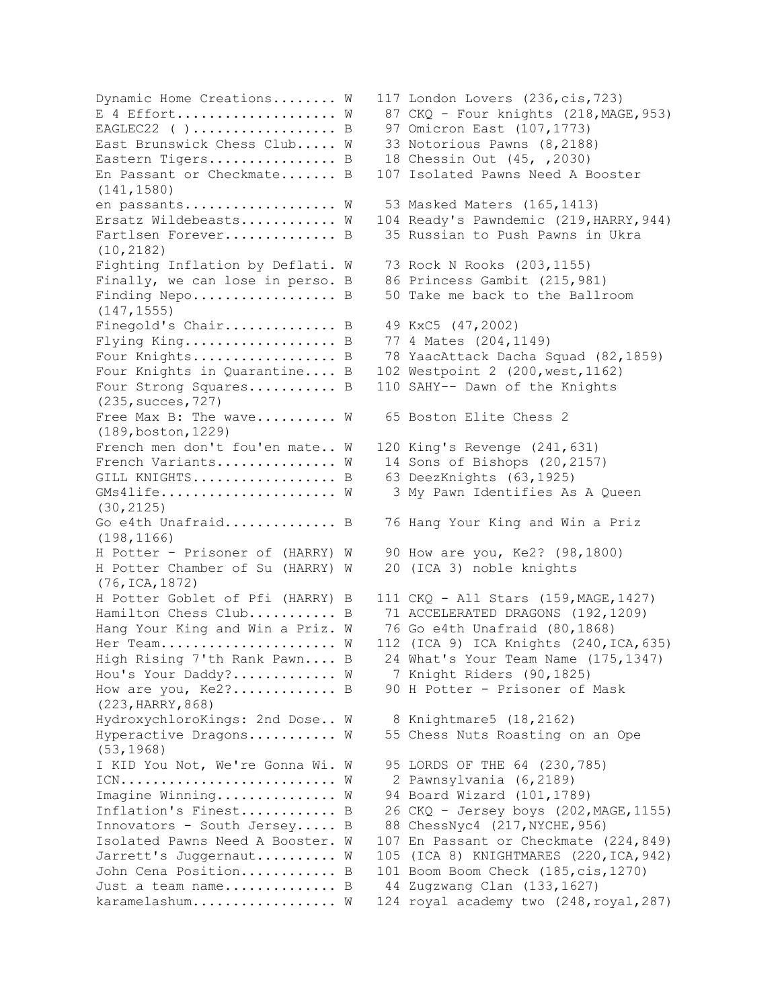EAGLEC22 ( ).................. B 97 Omicron East (107,1773) East Brunswick Chess Club..... W 33 Notorious Pawns (8,2188) Eastern Tigers................ B 18 Chessin Out (45, ,2030) En Passant or Checkmate....... B 107 Isolated Pawns Need A Booster (141,1580) en passants.................. W 53 Masked Maters (165,1413) Fartlsen Forever.............. B 35 Russian to Push Pawns in Ukra (10,2182) Fighting Inflation by Deflati. W 73 Rock N Rooks (203,1155) Finally, we can lose in perso. B 86 Princess Gambit (215,981) Finding Nepo........................ B 50 Take me back to the Ballroom (147,1555) Finegold's Chair............... B 49 KxC5 (47,2002) Flying King................... B 77 4 Mates (204,1149) Four Knights in Quarantine.... B 102 Westpoint 2 (200, west, 1162) Four Strong Squares........... B 110 SAHY-- Dawn of the Knights (235,succes,727) Free Max B: The wave......... W 65 Boston Elite Chess 2 (189,boston,1229) French men don't fou'en mate.. W 120 King's Revenge (241,631) French Variants............... W 14 Sons of Bishops (20,2157) GILL KNIGHTS.................. B 63 DeezKnights (63,1925) GMs4life..................... W 3 My Pawn Identifies As A Queen (30,2125) Go e4th Unafraid.............. B 76 Hang Your King and Win a Priz (198,1166) H Potter - Prisoner of (HARRY) W 90 How are you, Ke2? (98,1800) H Potter Chamber of Su (HARRY) W 20 (ICA 3) noble knights (76,ICA,1872) Hamilton Chess Club........... B 71 ACCELERATED DRAGONS (192,1209) Hang Your King and Win a Priz. W 76 Go e4th Unafraid (80,1868) Hou's Your Daddy?............ W 7 Knight Riders (90,1825) How are you, Ke2?.............. B 90 H Potter - Prisoner of Mask (223,HARRY,868) HydroxychloroKings: 2nd Dose.. W 8 Knightmare5 (18,2162) Hyperactive Dragons.......... W 55 Chess Nuts Roasting on an Ope (53,1968) I KID You Not, We're Gonna Wi. W 95 LORDS OF THE 64 (230,785) ICN........................... W 2 Pawnsylvania (6,2189) Imagine Winning.............. W 94 Board Wizard (101,1789) Innovators - South Jersey..... B 88 ChessNyc4 (217, NYCHE, 956) John Cena Position............ B 101 Boom Boom Check (185,cis,1270) Just a team name................  $B = 44$  Zugzwang Clan  $(133, 1627)$ 

Dynamic Home Creations........ W 117 London Lovers (236,cis,723) E 4 Effort....................  $W$  87 CKQ - Four knights (218, MAGE, 953) Ersatz Wildebeasts........... W 104 Ready's Pawndemic (219, HARRY, 944) Four Knights..................... B 78 YaacAttack Dacha Squad (82,1859) H Potter Goblet of Pfi (HARRY) B 111 CKQ - All Stars (159,MAGE,1427) Her Team...................... W 112 (ICA 9) ICA Knights (240, ICA, 635) High Rising 7'th Rank Pawn.... B 24 What's Your Team Name (175,1347) Inflation's Finest............ B 26 CKQ - Jersey boys (202, MAGE, 1155) Isolated Pawns Need A Booster. W 107 En Passant or Checkmate (224,849) Jarrett's Juggernaut......... W 105 (ICA 8) KNIGHTMARES (220, ICA, 942) karamelashum.................. W 124 royal academy two (248, royal, 287)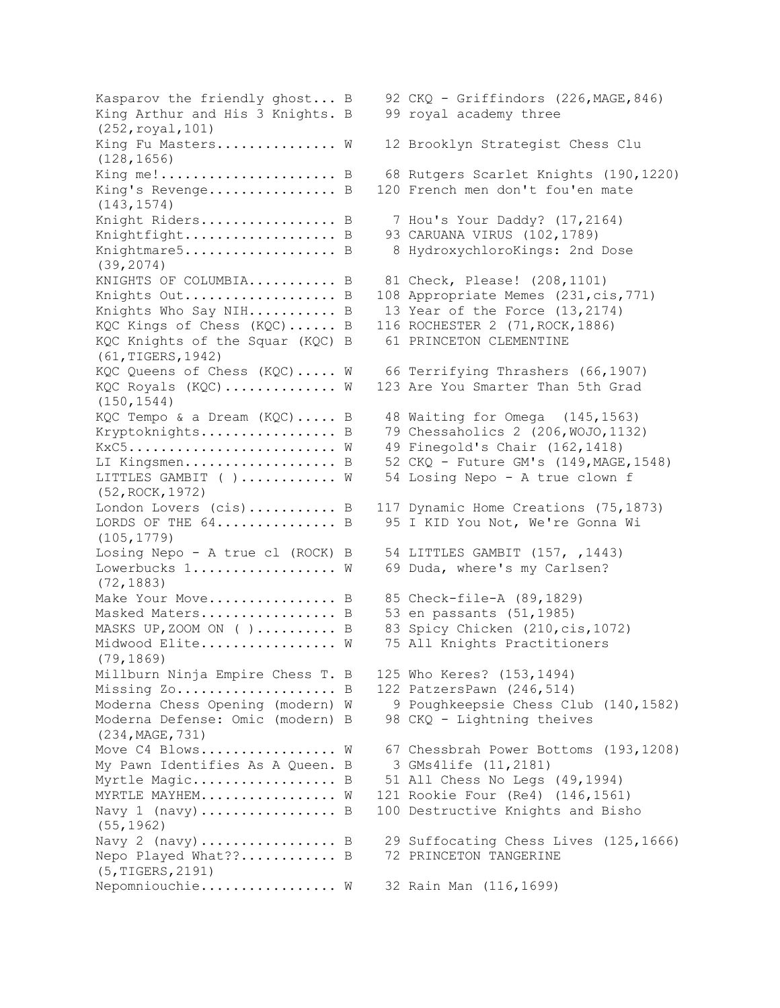Kasparov the friendly ghost... B 92 CKQ - Griffindors (226, MAGE, 846) King Arthur and His 3 Knights. B 99 royal academy three (252,royal,101) King Fu Masters.............. W 12 Brooklyn Strategist Chess Clu (128,1656) King me!............................ B 68 Rutgers Scarlet Knights (190,1220) King's Revenge................. B 120 French men don't fou'en mate (143,1574) Knight Riders.................... B 7 Hou's Your Daddy? (17,2164) Knightfight.......................... B 93 CARUANA VIRUS (102,1789) Knightmare5....................... B 8 HydroxychloroKings: 2nd Dose (39,2074) KNIGHTS OF COLUMBIA........... B 81 Check, Please! (208,1101) Knights Out................... B 108 Appropriate Memes (231,cis,771) Knights Who Say NIH........... B 13 Year of the Force (13,2174) KQC Kings of Chess (KQC)...... B 116 ROCHESTER 2 (71,ROCK,1886) KQC Knights of the Squar (KQC) B 61 PRINCETON CLEMENTINE (61,TIGERS,1942) KQC Queens of Chess (KQC)..... W 66 Terrifying Thrashers (66,1907) KQC Royals (KQC)............. W 123 Are You Smarter Than 5th Grad (150,1544) KQC Tempo & a Dream (KQC)..... B 48 Waiting for Omega (145,1563) Kryptoknights................... B 79 Chessaholics 2 (206, WOJO, 1132) KxC5.......................... W 49 Finegold's Chair (162,1418) LI Kingsmen................... B 52 CKQ - Future GM's (149, MAGE, 1548) LITTLES GAMBIT ( )............ W 54 Losing Nepo - A true clown f (52,ROCK,1972) London Lovers (cis)........... B 117 Dynamic Home Creations (75,1873) LORDS OF THE 64............... B 95 I KID You Not, We're Gonna Wi (105,1779) Losing Nepo - A true cl (ROCK) B 54 LITTLES GAMBIT (157, ,1443) Lowerbucks 1.................. W 69 Duda, where's my Carlsen? (72,1883) Make Your Move................. B 85 Check-file-A (89,1829) Masked Maters................... B 53 en passants (51,1985) MASKS UP, ZOOM ON ( )......... B 83 Spicy Chicken (210, cis, 1072) Midwood Elite................ W 75 All Knights Practitioners (79,1869) Millburn Ninja Empire Chess T. B 125 Who Keres? (153,1494) Missing Zo...................... B 122 PatzersPawn (246,514) Moderna Chess Opening (modern) W 9 Poughkeepsie Chess Club (140,1582) Moderna Defense: Omic (modern) B 98 CKQ - Lightning theives (234,MAGE,731) Move C4 Blows................ W 67 Chessbrah Power Bottoms (193,1208) My Pawn Identifies As A Queen. B 3 GMs4life (11,2181) Myrtle Magic................... B 51 All Chess No Legs (49,1994) MYRTLE MAYHEM................ W 121 Rookie Four (Re4) (146,1561) Navy 1 (navy)................... B 100 Destructive Knights and Bisho (55,1962) Navy 2 (navy)................... B 29 Suffocating Chess Lives (125,1666) Nepo Played What??............ B 72 PRINCETON TANGERINE (5,TIGERS,2191) Nepomniouchie................. W 32 Rain Man (116,1699)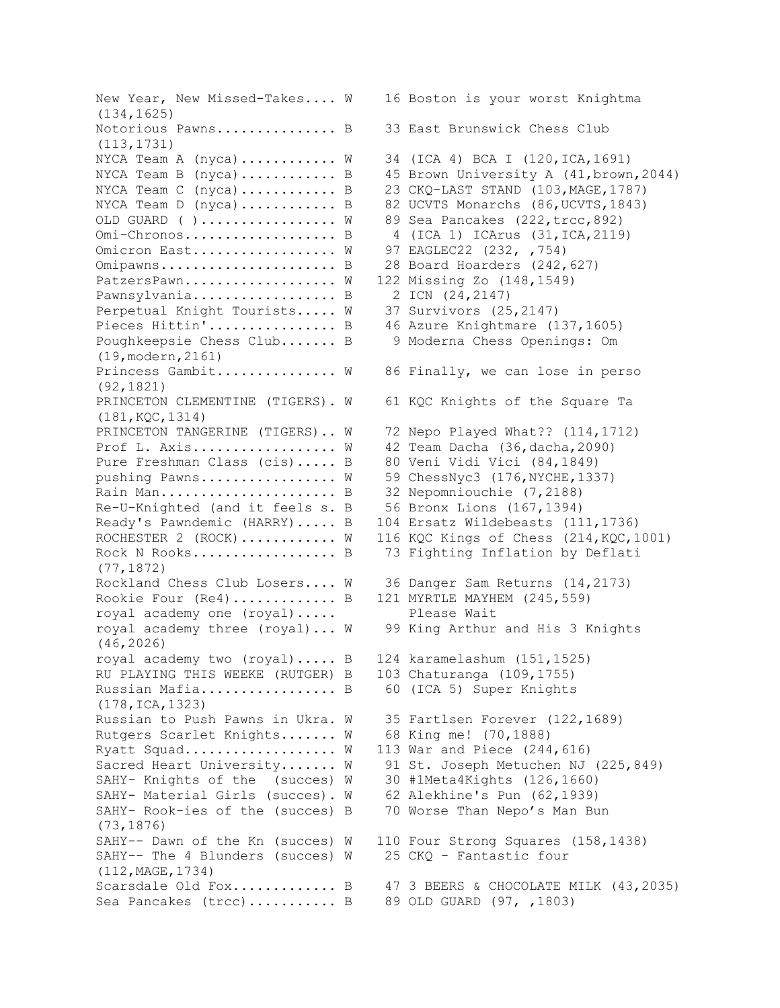New Year, New Missed-Takes.... W 16 Boston is your worst Knightma (134,1625) Notorious Pawns............... B 33 East Brunswick Chess Club (113,1731) NYCA Team A (nyca)............  $W = 34$  (ICA 4) BCA I (120, ICA, 1691) NYCA Team B (nyca)............ B 45 Brown University A (41, brown, 2044) NYCA Team C (nyca)............ B 23 CKQ-LAST STAND (103, MAGE, 1787) NYCA Team D (nyca)........... B 82 UCVTS Monarchs (86, UCVTS, 1843) OLD GUARD ( )................ W 89 Sea Pancakes (222,trcc,892) Omi-Chronos................... B 4 (ICA 1) ICArus (31,ICA,2119) Omicron East................ W 97 EAGLEC22 (232, ,754) Omipawns............................ B 28 Board Hoarders (242,627) PatzersPawn.................. W 122 Missing Zo (148,1549) Pawnsylvania.................... B 2 ICN (24,2147) Perpetual Knight Tourists..... W 37 Survivors (25,2147) Pieces Hittin'.................. B 46 Azure Knightmare (137,1605) Poughkeepsie Chess Club....... B 9 Moderna Chess Openings: Om (19,modern,2161) Princess Gambit.............. W 86 Finally, we can lose in perso (92,1821) PRINCETON CLEMENTINE (TIGERS). W 61 KQC Knights of the Square Ta (181,KQC,1314) PRINCETON TANGERINE (TIGERS).. W 72 Nepo Played What?? (114,1712) Prof L. Axis.................. W 42 Team Dacha (36,dacha,2090) Pure Freshman Class (cis)..... B 80 Veni Vidi Vici (84,1849) pushing Pawns................. W 59 ChessNyc3 (176, NYCHE, 1337) Rain Man............................ B 32 Nepomniouchie (7,2188) Re-U-Knighted (and it feels s. B 56 Bronx Lions (167,1394) Ready's Pawndemic (HARRY)..... B 104 Ersatz Wildebeasts (111,1736) ROCHESTER 2 (ROCK)........... W 116 KQC Kings of Chess (214, KQC, 1001) Rock N Rooks................... B 73 Fighting Inflation by Deflati (77,1872) Rockland Chess Club Losers.... W 36 Danger Sam Returns (14,2173) Rookie Four (Re4)............ B 121 MYRTLE MAYHEM (245,559) royal academy one (royal)..... Please Wait royal academy three (royal)... W 99 King Arthur and His 3 Knights (46,2026) royal academy two (royal)..... B 124 karamelashum (151,1525) RU PLAYING THIS WEEKE (RUTGER) B 103 Chaturanga (109,1755) Russian Mafia................. B 60 (ICA 5) Super Knights (178,ICA,1323) Russian to Push Pawns in Ukra. W 35 Fartlsen Forever (122,1689) Rutgers Scarlet Knights....... W 68 King me! (70,1888) Ryatt Squad.................. W 113 War and Piece (244,616) Sacred Heart University....... W 91 St. Joseph Metuchen NJ (225,849) SAHY- Knights of the (succes) W 30 #1Meta4Kights (126,1660) SAHY- Material Girls (succes). W 62 Alekhine's Pun (62,1939) SAHY- Rook-ies of the (succes) B 70 Worse Than Nepo's Man Bun (73,1876) SAHY-- Dawn of the Kn (succes) W 110 Four Strong Squares (158,1438) SAHY-- The 4 Blunders (succes) W 25 CKQ - Fantastic four (112,MAGE,1734) Scarsdale Old Fox............. B 47 3 BEERS & CHOCOLATE MILK (43,2035) Sea Pancakes (trcc)........... B 89 OLD GUARD (97, ,1803)